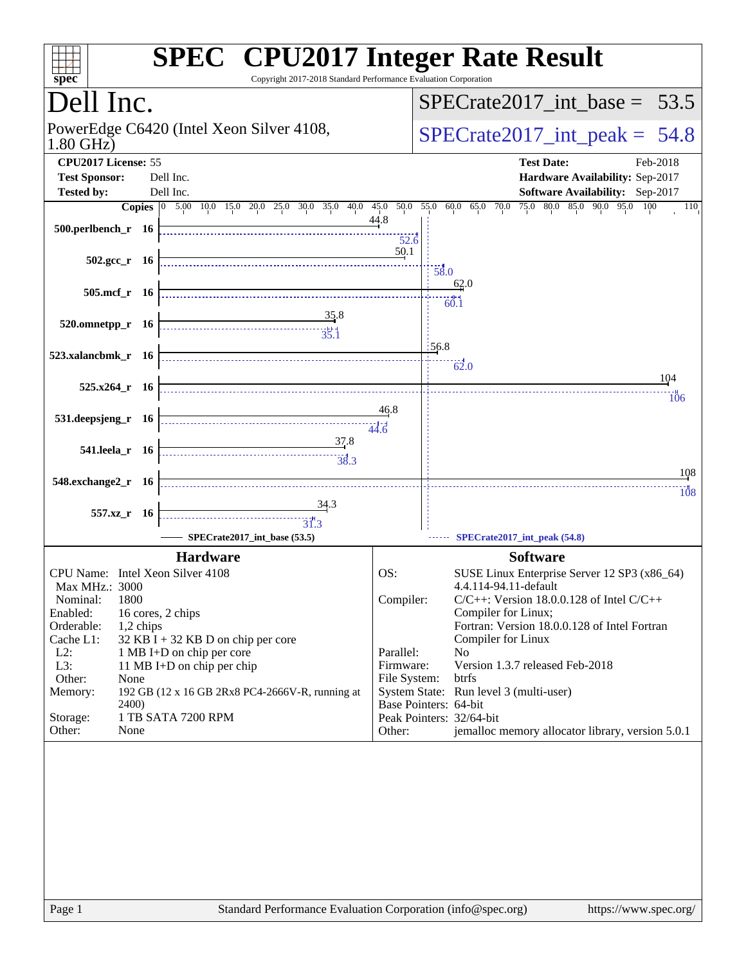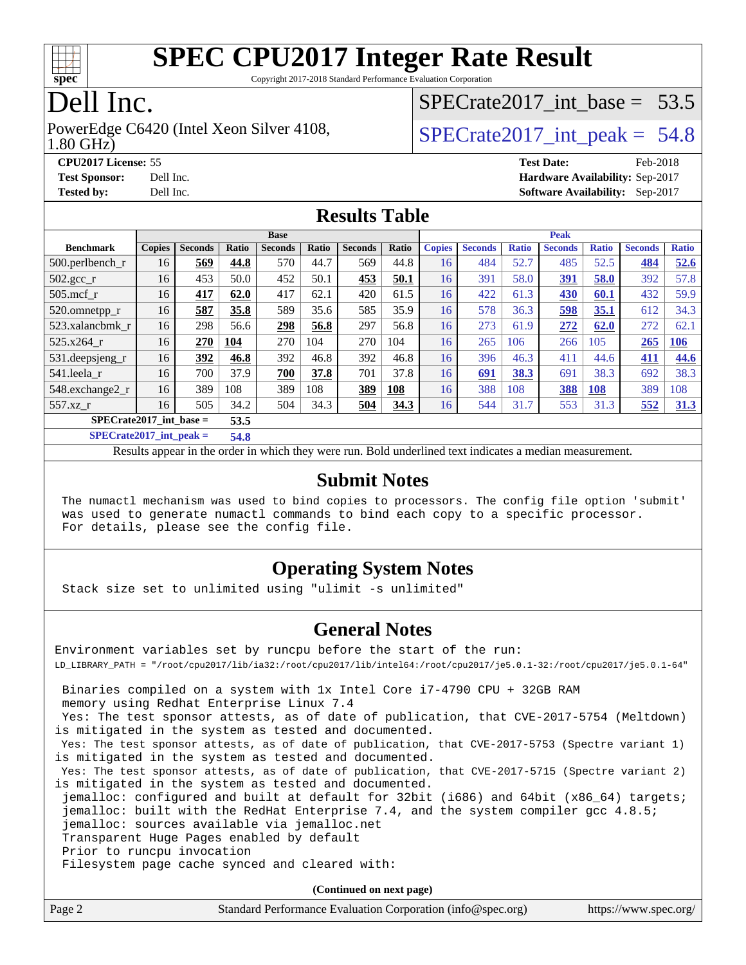

Copyright 2017-2018 Standard Performance Evaluation Corporation

## Dell Inc.

#### 1.80 GHz) PowerEdge C6420 (Intel Xeon Silver 4108,  $\vert$  SPECrate 2017 int peak = 54.8

### SPECrate2017 int\_base =  $53.5$

**[CPU2017 License:](http://www.spec.org/auto/cpu2017/Docs/result-fields.html#CPU2017License)** 55 **[Test Date:](http://www.spec.org/auto/cpu2017/Docs/result-fields.html#TestDate)** Feb-2018 **[Test Sponsor:](http://www.spec.org/auto/cpu2017/Docs/result-fields.html#TestSponsor)** Dell Inc. **[Hardware Availability:](http://www.spec.org/auto/cpu2017/Docs/result-fields.html#HardwareAvailability)** Sep-2017 **[Tested by:](http://www.spec.org/auto/cpu2017/Docs/result-fields.html#Testedby)** Dell Inc. **[Software Availability:](http://www.spec.org/auto/cpu2017/Docs/result-fields.html#SoftwareAvailability)** Sep-2017

### **[Results Table](http://www.spec.org/auto/cpu2017/Docs/result-fields.html#ResultsTable)**

|                                   | <b>Base</b>   |                |       |                |              | <b>Peak</b>    |       |               |                |              |                |              |                |              |
|-----------------------------------|---------------|----------------|-------|----------------|--------------|----------------|-------|---------------|----------------|--------------|----------------|--------------|----------------|--------------|
| <b>Benchmark</b>                  | <b>Copies</b> | <b>Seconds</b> | Ratio | <b>Seconds</b> | <b>Ratio</b> | <b>Seconds</b> | Ratio | <b>Copies</b> | <b>Seconds</b> | <b>Ratio</b> | <b>Seconds</b> | <b>Ratio</b> | <b>Seconds</b> | <b>Ratio</b> |
| $500.$ perlbench_r                | 16            | 569            | 44.8  | 570            | 44.7         | 569            | 44.8  | 16            | 484            | 52.7         | 485            | 52.5         | 484            | 52.6         |
| 502.gcc_r                         | 16            | 453            | 50.0  | 452            | 50.1         | 453            | 50.1  | 16            | 391            | 58.0         | 391            | 58.0         | 392            | 57.8         |
| $505$ .mcf r                      | 16            | 417            | 62.0  | 417            | 62.1         | 420            | 61.5  | 16            | 422            | 61.3         | 430            | 60.1         | 432            | 59.9         |
| 520.omnetpp_r                     | 16            | 587            | 35.8  | 589            | 35.6         | 585            | 35.9  | 16            | 578            | 36.3         | 598            | 35.1         | 612            | 34.3         |
| 523.xalancbmk r                   | 16            | 298            | 56.6  | 298            | 56.8         | 297            | 56.8  | 16            | 273            | 61.9         | 272            | 62.0         | 272            | 62.1         |
| 525.x264 r                        | 16            | 270            | 104   | 270            | 104          | 270            | 104   | 16            | 265            | 106          | 266            | 105          | 265            | <u>106</u>   |
| 531.deepsjeng_r                   | 16            | 392            | 46.8  | 392            | 46.8         | 392            | 46.8  | 16            | 396            | 46.3         | 411            | 44.6         | 411            | 44.6         |
| 541.leela_r                       | 16            | 700            | 37.9  | 700            | 37.8         | 701            | 37.8  | 16            | 691            | 38.3         | 691            | 38.3         | 692            | 38.3         |
| 548.exchange2_r                   | 16            | 389            | 108   | 389            | 108          | 389            | 108   | 16            | 388            | 108          | 388            | 108          | 389            | 108          |
| $557.xz$ r                        | 16            | 505            | 34.2  | 504            | 34.3         | 504            | 34.3  | 16            | 544            | 31.7         | 553            | 31.3         | 552            | 31.3         |
| $SPECrate2017$ int base =<br>53.5 |               |                |       |                |              |                |       |               |                |              |                |              |                |              |

**[SPECrate2017\\_int\\_peak =](http://www.spec.org/auto/cpu2017/Docs/result-fields.html#SPECrate2017intpeak) 54.8**

Results appear in the [order in which they were run.](http://www.spec.org/auto/cpu2017/Docs/result-fields.html#RunOrder) Bold underlined text [indicates a median measurement.](http://www.spec.org/auto/cpu2017/Docs/result-fields.html#Median)

#### **[Submit Notes](http://www.spec.org/auto/cpu2017/Docs/result-fields.html#SubmitNotes)**

 The numactl mechanism was used to bind copies to processors. The config file option 'submit' was used to generate numactl commands to bind each copy to a specific processor. For details, please see the config file.

### **[Operating System Notes](http://www.spec.org/auto/cpu2017/Docs/result-fields.html#OperatingSystemNotes)**

Stack size set to unlimited using "ulimit -s unlimited"

#### **[General Notes](http://www.spec.org/auto/cpu2017/Docs/result-fields.html#GeneralNotes)**

Environment variables set by runcpu before the start of the run: LD\_LIBRARY\_PATH = "/root/cpu2017/lib/ia32:/root/cpu2017/lib/intel64:/root/cpu2017/je5.0.1-32:/root/cpu2017/je5.0.1-64" Binaries compiled on a system with 1x Intel Core i7-4790 CPU + 32GB RAM

memory using Redhat Enterprise Linux 7.4

 Yes: The test sponsor attests, as of date of publication, that CVE-2017-5754 (Meltdown) is mitigated in the system as tested and documented.

 Yes: The test sponsor attests, as of date of publication, that CVE-2017-5753 (Spectre variant 1) is mitigated in the system as tested and documented.

 Yes: The test sponsor attests, as of date of publication, that CVE-2017-5715 (Spectre variant 2) is mitigated in the system as tested and documented.

 jemalloc: configured and built at default for 32bit (i686) and 64bit (x86\_64) targets; jemalloc: built with the RedHat Enterprise 7.4, and the system compiler gcc 4.8.5; jemalloc: sources available via jemalloc.net

Transparent Huge Pages enabled by default

Prior to runcpu invocation

Filesystem page cache synced and cleared with:

**(Continued on next page)**

| Page 2 | Standard Performance Evaluation Corporation (info@spec.org) | https://www.spec.org/ |
|--------|-------------------------------------------------------------|-----------------------|
|--------|-------------------------------------------------------------|-----------------------|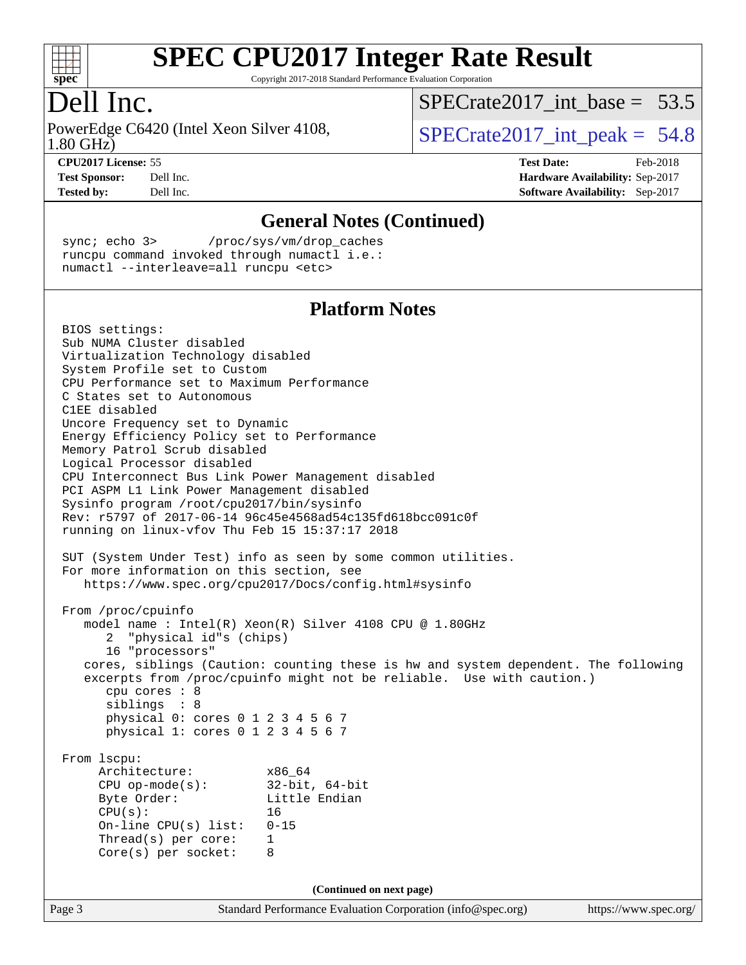

Copyright 2017-2018 Standard Performance Evaluation Corporation

## Dell Inc.

1.80 GHz) PowerEdge C6420 (Intel Xeon Silver 4108,  $\vert$  SPECrate 2017 int peak = 54.8

SPECrate2017 int\_base =  $53.5$ 

**[CPU2017 License:](http://www.spec.org/auto/cpu2017/Docs/result-fields.html#CPU2017License)** 55 **[Test Date:](http://www.spec.org/auto/cpu2017/Docs/result-fields.html#TestDate)** Feb-2018 **[Test Sponsor:](http://www.spec.org/auto/cpu2017/Docs/result-fields.html#TestSponsor)** Dell Inc. **[Hardware Availability:](http://www.spec.org/auto/cpu2017/Docs/result-fields.html#HardwareAvailability)** Sep-2017 **[Tested by:](http://www.spec.org/auto/cpu2017/Docs/result-fields.html#Testedby)** Dell Inc. **[Software Availability:](http://www.spec.org/auto/cpu2017/Docs/result-fields.html#SoftwareAvailability)** Sep-2017

**[General Notes \(Continued\)](http://www.spec.org/auto/cpu2017/Docs/result-fields.html#GeneralNotes)** sync; echo 3> /proc/sys/vm/drop\_caches runcpu command invoked through numactl i.e.: numactl --interleave=all runcpu <etc> **[Platform Notes](http://www.spec.org/auto/cpu2017/Docs/result-fields.html#PlatformNotes)** BIOS settings: Sub NUMA Cluster disabled Virtualization Technology disabled System Profile set to Custom CPU Performance set to Maximum Performance C States set to Autonomous C1EE disabled Uncore Frequency set to Dynamic Energy Efficiency Policy set to Performance Memory Patrol Scrub disabled Logical Processor disabled CPU Interconnect Bus Link Power Management disabled PCI ASPM L1 Link Power Management disabled Sysinfo program /root/cpu2017/bin/sysinfo Rev: r5797 of 2017-06-14 96c45e4568ad54c135fd618bcc091c0f running on linux-vfov Thu Feb 15 15:37:17 2018 SUT (System Under Test) info as seen by some common utilities. For more information on this section, see <https://www.spec.org/cpu2017/Docs/config.html#sysinfo> From /proc/cpuinfo model name : Intel(R) Xeon(R) Silver 4108 CPU @ 1.80GHz 2 "physical id"s (chips) 16 "processors" cores, siblings (Caution: counting these is hw and system dependent. The following excerpts from /proc/cpuinfo might not be reliable. Use with caution.) cpu cores : 8 siblings : 8 physical 0: cores 0 1 2 3 4 5 6 7 physical 1: cores 0 1 2 3 4 5 6 7 From lscpu: Architecture: x86\_64 CPU op-mode(s): 32-bit, 64-bit Byte Order: Little Endian  $CPU(s):$  16 On-line CPU(s) list: 0-15 Thread(s) per core: 1 Core(s) per socket: 8 **(Continued on next page)**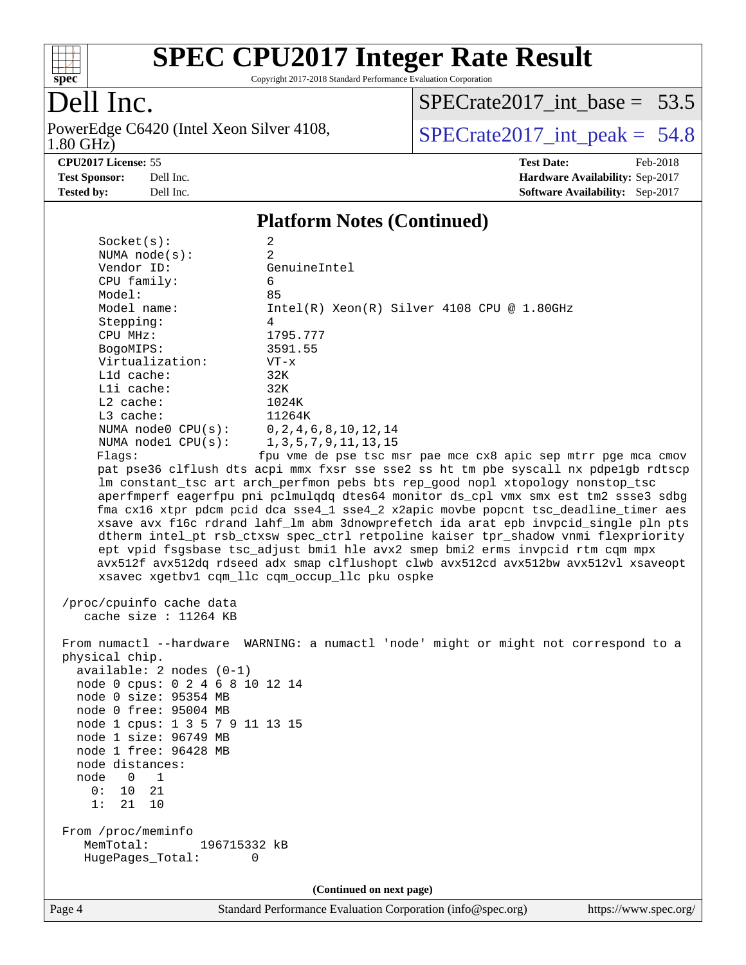

Copyright 2017-2018 Standard Performance Evaluation Corporation

## Dell Inc.

1.80 GHz) PowerEdge C6420 (Intel Xeon Silver 4108,  $\text{SPECrate2017\_int\_peak} = 54.8$ 

[SPECrate2017\\_int\\_base =](http://www.spec.org/auto/cpu2017/Docs/result-fields.html#SPECrate2017intbase) 53.5

**[CPU2017 License:](http://www.spec.org/auto/cpu2017/Docs/result-fields.html#CPU2017License)** 55 **[Test Date:](http://www.spec.org/auto/cpu2017/Docs/result-fields.html#TestDate)** Feb-2018 **[Test Sponsor:](http://www.spec.org/auto/cpu2017/Docs/result-fields.html#TestSponsor)** Dell Inc. **[Hardware Availability:](http://www.spec.org/auto/cpu2017/Docs/result-fields.html#HardwareAvailability)** Sep-2017 **[Tested by:](http://www.spec.org/auto/cpu2017/Docs/result-fields.html#Testedby)** Dell Inc. **[Software Availability:](http://www.spec.org/auto/cpu2017/Docs/result-fields.html#SoftwareAvailability)** Sep-2017

#### **[Platform Notes \(Continued\)](http://www.spec.org/auto/cpu2017/Docs/result-fields.html#PlatformNotes)**

| Socket(s):                                                                                                                                                                                                                                                                                             | 2                                                                                                                                                                                                                                                                                                                                                                                                                                                                                                                                                                                                                                                                                                                                                                                                                          |
|--------------------------------------------------------------------------------------------------------------------------------------------------------------------------------------------------------------------------------------------------------------------------------------------------------|----------------------------------------------------------------------------------------------------------------------------------------------------------------------------------------------------------------------------------------------------------------------------------------------------------------------------------------------------------------------------------------------------------------------------------------------------------------------------------------------------------------------------------------------------------------------------------------------------------------------------------------------------------------------------------------------------------------------------------------------------------------------------------------------------------------------------|
| NUMA $node(s):$                                                                                                                                                                                                                                                                                        | 2                                                                                                                                                                                                                                                                                                                                                                                                                                                                                                                                                                                                                                                                                                                                                                                                                          |
| Vendor ID:                                                                                                                                                                                                                                                                                             | GenuineIntel                                                                                                                                                                                                                                                                                                                                                                                                                                                                                                                                                                                                                                                                                                                                                                                                               |
| CPU family:                                                                                                                                                                                                                                                                                            | 6                                                                                                                                                                                                                                                                                                                                                                                                                                                                                                                                                                                                                                                                                                                                                                                                                          |
| Model:                                                                                                                                                                                                                                                                                                 | 85                                                                                                                                                                                                                                                                                                                                                                                                                                                                                                                                                                                                                                                                                                                                                                                                                         |
| Model name:                                                                                                                                                                                                                                                                                            | $Intel(R) Xeon(R) Silver 4108 CPU @ 1.80GHz$                                                                                                                                                                                                                                                                                                                                                                                                                                                                                                                                                                                                                                                                                                                                                                               |
| Stepping:                                                                                                                                                                                                                                                                                              | 4                                                                                                                                                                                                                                                                                                                                                                                                                                                                                                                                                                                                                                                                                                                                                                                                                          |
| CPU MHz:                                                                                                                                                                                                                                                                                               | 1795.777                                                                                                                                                                                                                                                                                                                                                                                                                                                                                                                                                                                                                                                                                                                                                                                                                   |
| BogoMIPS:                                                                                                                                                                                                                                                                                              | 3591.55                                                                                                                                                                                                                                                                                                                                                                                                                                                                                                                                                                                                                                                                                                                                                                                                                    |
| Virtualization:                                                                                                                                                                                                                                                                                        | $VT - x$                                                                                                                                                                                                                                                                                                                                                                                                                                                                                                                                                                                                                                                                                                                                                                                                                   |
| L1d cache:                                                                                                                                                                                                                                                                                             | 32K                                                                                                                                                                                                                                                                                                                                                                                                                                                                                                                                                                                                                                                                                                                                                                                                                        |
| Lli cache:                                                                                                                                                                                                                                                                                             | 32K                                                                                                                                                                                                                                                                                                                                                                                                                                                                                                                                                                                                                                                                                                                                                                                                                        |
| L2 cache:                                                                                                                                                                                                                                                                                              | 1024K                                                                                                                                                                                                                                                                                                                                                                                                                                                                                                                                                                                                                                                                                                                                                                                                                      |
| $L3$ cache:                                                                                                                                                                                                                                                                                            | 11264K                                                                                                                                                                                                                                                                                                                                                                                                                                                                                                                                                                                                                                                                                                                                                                                                                     |
| NUMA $node0$ $CPU(s):$                                                                                                                                                                                                                                                                                 | 0, 2, 4, 6, 8, 10, 12, 14                                                                                                                                                                                                                                                                                                                                                                                                                                                                                                                                                                                                                                                                                                                                                                                                  |
| NUMA $node1$ $CPU(s):$                                                                                                                                                                                                                                                                                 | 1, 3, 5, 7, 9, 11, 13, 15                                                                                                                                                                                                                                                                                                                                                                                                                                                                                                                                                                                                                                                                                                                                                                                                  |
| Flags:                                                                                                                                                                                                                                                                                                 | fpu vme de pse tsc msr pae mce cx8 apic sep mtrr pge mca cmov<br>pat pse36 clflush dts acpi mmx fxsr sse sse2 ss ht tm pbe syscall nx pdpelgb rdtscp<br>lm constant_tsc art arch_perfmon pebs bts rep_good nopl xtopology nonstop_tsc<br>aperfmperf eagerfpu pni pclmulqdq dtes64 monitor ds_cpl vmx smx est tm2 ssse3 sdbg<br>fma cx16 xtpr pdcm pcid dca sse4_1 sse4_2 x2apic movbe popcnt tsc_deadline_timer aes<br>xsave avx f16c rdrand lahf_lm abm 3dnowprefetch ida arat epb invpcid_single pln pts<br>dtherm intel_pt rsb_ctxsw spec_ctrl retpoline kaiser tpr_shadow vnmi flexpriority<br>ept vpid fsgsbase tsc_adjust bmil hle avx2 smep bmi2 erms invpcid rtm cqm mpx<br>avx512f avx512dq rdseed adx smap clflushopt clwb avx512cd avx512bw avx512vl xsaveopt<br>xsavec xgetbv1 cqm_llc cqm_occup_llc pku ospke |
| /proc/cpuinfo cache data<br>cache size : 11264 KB                                                                                                                                                                                                                                                      |                                                                                                                                                                                                                                                                                                                                                                                                                                                                                                                                                                                                                                                                                                                                                                                                                            |
| physical chip.<br>$available: 2 nodes (0-1)$<br>node 0 cpus: 0 2 4 6 8 10 12 14<br>node 0 size: 95354 MB<br>node 0 free: 95004 MB<br>node 1 cpus: 1 3 5 7 9 11 13 15<br>node 1 size: 96749 MB<br>node 1 free: 96428 MB<br>node distances:<br>node<br>$\Omega$<br>1<br>21<br>0:<br>10<br>1:<br>21<br>10 | From numactl --hardware WARNING: a numactl 'node' might or might not correspond to a                                                                                                                                                                                                                                                                                                                                                                                                                                                                                                                                                                                                                                                                                                                                       |
| From /proc/meminfo<br>MemTotal:<br>196715332 kB<br>HugePages_Total:<br>0                                                                                                                                                                                                                               |                                                                                                                                                                                                                                                                                                                                                                                                                                                                                                                                                                                                                                                                                                                                                                                                                            |
|                                                                                                                                                                                                                                                                                                        | (Continued on next page)                                                                                                                                                                                                                                                                                                                                                                                                                                                                                                                                                                                                                                                                                                                                                                                                   |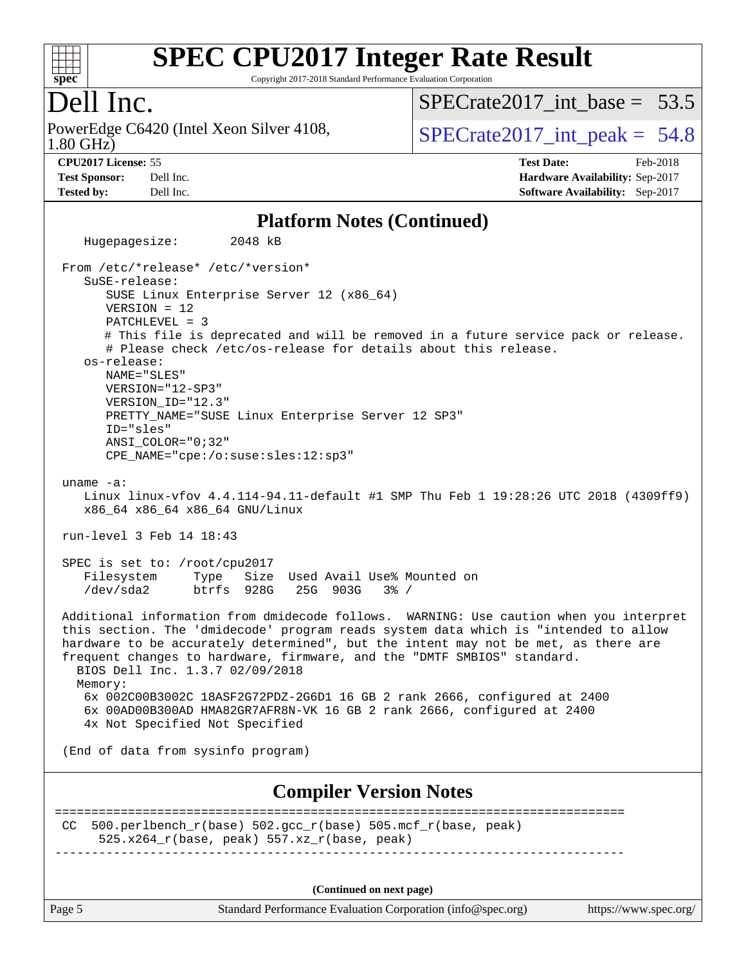

Copyright 2017-2018 Standard Performance Evaluation Corporation

### Dell Inc.

1.80 GHz) PowerEdge C6420 (Intel Xeon Silver 4108,  $\vert$  SPECrate 2017 int peak = 54.8

SPECrate2017 int\_base =  $53.5$ 

**[CPU2017 License:](http://www.spec.org/auto/cpu2017/Docs/result-fields.html#CPU2017License)** 55 **[Test Date:](http://www.spec.org/auto/cpu2017/Docs/result-fields.html#TestDate)** Feb-2018 **[Test Sponsor:](http://www.spec.org/auto/cpu2017/Docs/result-fields.html#TestSponsor)** Dell Inc. **[Hardware Availability:](http://www.spec.org/auto/cpu2017/Docs/result-fields.html#HardwareAvailability)** Sep-2017 **[Tested by:](http://www.spec.org/auto/cpu2017/Docs/result-fields.html#Testedby)** Dell Inc. **[Software Availability:](http://www.spec.org/auto/cpu2017/Docs/result-fields.html#SoftwareAvailability)** Sep-2017

#### **[Platform Notes \(Continued\)](http://www.spec.org/auto/cpu2017/Docs/result-fields.html#PlatformNotes)**

Page 5 Standard Performance Evaluation Corporation [\(info@spec.org\)](mailto:info@spec.org) <https://www.spec.org/> Hugepagesize: 2048 kB From /etc/\*release\* /etc/\*version\* SuSE-release: SUSE Linux Enterprise Server 12 (x86\_64) VERSION = 12 PATCHLEVEL = 3 # This file is deprecated and will be removed in a future service pack or release. # Please check /etc/os-release for details about this release. os-release: NAME="SLES" VERSION="12-SP3" VERSION\_ID="12.3" PRETTY\_NAME="SUSE Linux Enterprise Server 12 SP3" ID="sles" ANSI\_COLOR="0;32" CPE\_NAME="cpe:/o:suse:sles:12:sp3" uname -a: Linux linux-vfov 4.4.114-94.11-default #1 SMP Thu Feb 1 19:28:26 UTC 2018 (4309ff9) x86\_64 x86\_64 x86\_64 GNU/Linux run-level 3 Feb 14 18:43 SPEC is set to: /root/cpu2017 Filesystem Type Size Used-Avail-Use%-Mounted-on-<br>  $\sqrt{1 + 2 + 4}$  /dev/sda2 btrfs 928G 25G 903G 3%-/ /dev/sda2 btrfs 928G 25G 903G 3% / Additional information from dmidecode follows. WARNING: Use caution when you interpret this section. The 'dmidecode' program reads system data which is "intended to allow hardware to be accurately determined", but the intent may not be met, as there are frequent changes to hardware, firmware, and the "DMTF SMBIOS" standard. BIOS Dell Inc. 1.3.7 02/09/2018 Memory: 6x 002C00B3002C 18ASF2G72PDZ-2G6D1 16 GB 2 rank 2666, configured at 2400 6x 00AD00B300AD HMA82GR7AFR8N-VK 16 GB 2 rank 2666, configured at 2400 4x Not Specified Not Specified (End of data from sysinfo program) **[Compiler Version Notes](http://www.spec.org/auto/cpu2017/Docs/result-fields.html#CompilerVersionNotes)** ============================================================================== CC 500.perlbench\_r(base)  $502.\text{gcc_r}$ (base)  $505.\text{mcf_r}$ (base, peak) 525.x264\_r(base, peak) 557.xz\_r(base, peak) ------------------------------------------------------------------------------ **(Continued on next page)**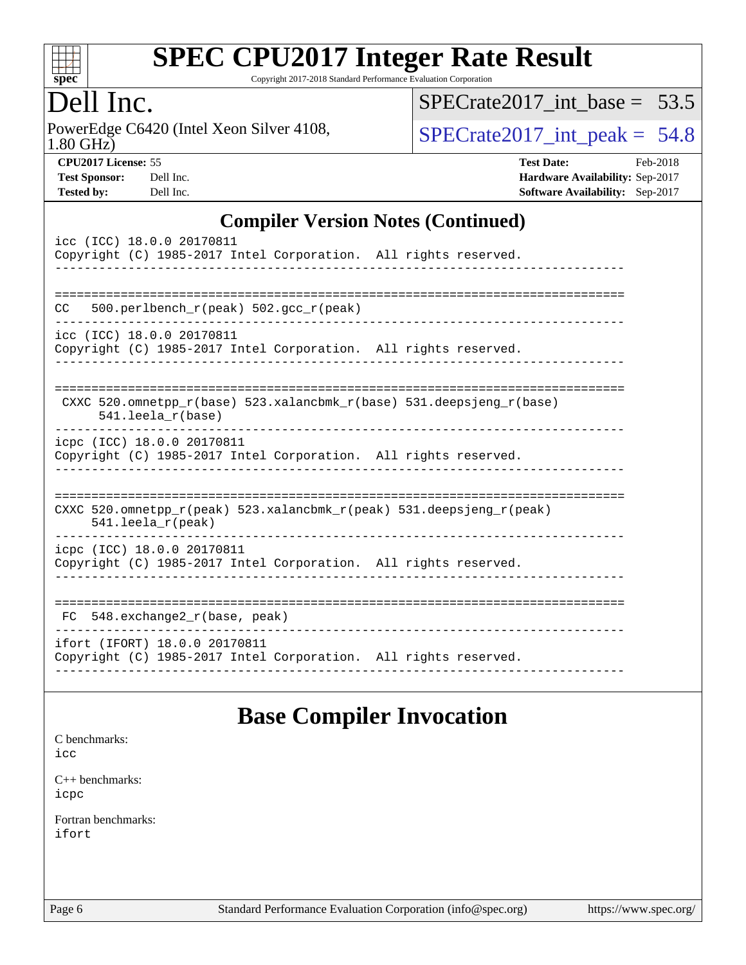

Copyright 2017-2018 Standard Performance Evaluation Corporation

## ell Inc.

PowerEdge C6420 (Intel Xeon Silver 4108, 1.80 GHz)

SPECrate2017 int\_base =  $53.5$ 

 $SPECTate 2017\_int\_peak = 54.8$ 

| <b>Test Sponsor:</b> | Dell Ir |
|----------------------|---------|
| <b>Tested by:</b>    | Dell Ir |

**[CPU2017 License:](http://www.spec.org/auto/cpu2017/Docs/result-fields.html#CPU2017License)** 55 **[Test Date:](http://www.spec.org/auto/cpu2017/Docs/result-fields.html#TestDate)** Feb-2018 **[Test Sponsor:](http://www.spec.org/auto/cpu2017/Docs/result-fields.html#TestSponsor) [Hardware Availability:](http://www.spec.org/auto/cpu2017/Docs/result-fields.html#HardwareAvailability)** Sep-2017 **[Tested by:](http://www.spec.org/auto/cpu2017/Docs/result-fields.html#Testedby)** Dell Inc. **[Software Availability:](http://www.spec.org/auto/cpu2017/Docs/result-fields.html#SoftwareAvailability)** Sep-2017

#### **[Compiler Version Notes \(Continued\)](http://www.spec.org/auto/cpu2017/Docs/result-fields.html#CompilerVersionNotes)**

| icc (ICC) 18.0.0 20170811<br>Copyright (C) 1985-2017 Intel Corporation. All rights reserved.                            |
|-------------------------------------------------------------------------------------------------------------------------|
| 500.perlbench $r(\text{peak})$ 502.gcc $r(\text{peak})$<br>CC.                                                          |
| icc (ICC) 18.0.0 20170811<br>Copyright (C) 1985-2017 Intel Corporation. All rights reserved.                            |
| CXXC 520.omnetpp $r(base)$ 523.xalancbmk $r(base)$ 531.deepsjeng $r(base)$<br>541.leela_r(base)                         |
| icpc (ICC) 18.0.0 20170811<br>Copyright (C) 1985-2017 Intel Corporation. All rights reserved.                           |
| CXXC 520.omnetpp $r(\text{peak})$ 523.xalancbmk $r(\text{peak})$ 531.deepsjeng $r(\text{peak})$<br>$541.$ leela_r(peak) |
| icpc (ICC) 18.0.0 20170811<br>Copyright (C) 1985-2017 Intel Corporation. All rights reserved.                           |
| 548.exchange2_r(base, peak)<br>FC.                                                                                      |
| ifort (IFORT) 18.0.0 20170811<br>Copyright (C) 1985-2017 Intel Corporation. All rights reserved.                        |

### **[Base Compiler Invocation](http://www.spec.org/auto/cpu2017/Docs/result-fields.html#BaseCompilerInvocation)**

[C benchmarks](http://www.spec.org/auto/cpu2017/Docs/result-fields.html#Cbenchmarks): [icc](http://www.spec.org/cpu2017/results/res2018q1/cpu2017-20180305-03878.flags.html#user_CCbase_intel_icc_18.0_66fc1ee009f7361af1fbd72ca7dcefbb700085f36577c54f309893dd4ec40d12360134090235512931783d35fd58c0460139e722d5067c5574d8eaf2b3e37e92)

[C++ benchmarks:](http://www.spec.org/auto/cpu2017/Docs/result-fields.html#CXXbenchmarks) [icpc](http://www.spec.org/cpu2017/results/res2018q1/cpu2017-20180305-03878.flags.html#user_CXXbase_intel_icpc_18.0_c510b6838c7f56d33e37e94d029a35b4a7bccf4766a728ee175e80a419847e808290a9b78be685c44ab727ea267ec2f070ec5dc83b407c0218cded6866a35d07)

[Fortran benchmarks](http://www.spec.org/auto/cpu2017/Docs/result-fields.html#Fortranbenchmarks): [ifort](http://www.spec.org/cpu2017/results/res2018q1/cpu2017-20180305-03878.flags.html#user_FCbase_intel_ifort_18.0_8111460550e3ca792625aed983ce982f94888b8b503583aa7ba2b8303487b4d8a21a13e7191a45c5fd58ff318f48f9492884d4413fa793fd88dd292cad7027ca)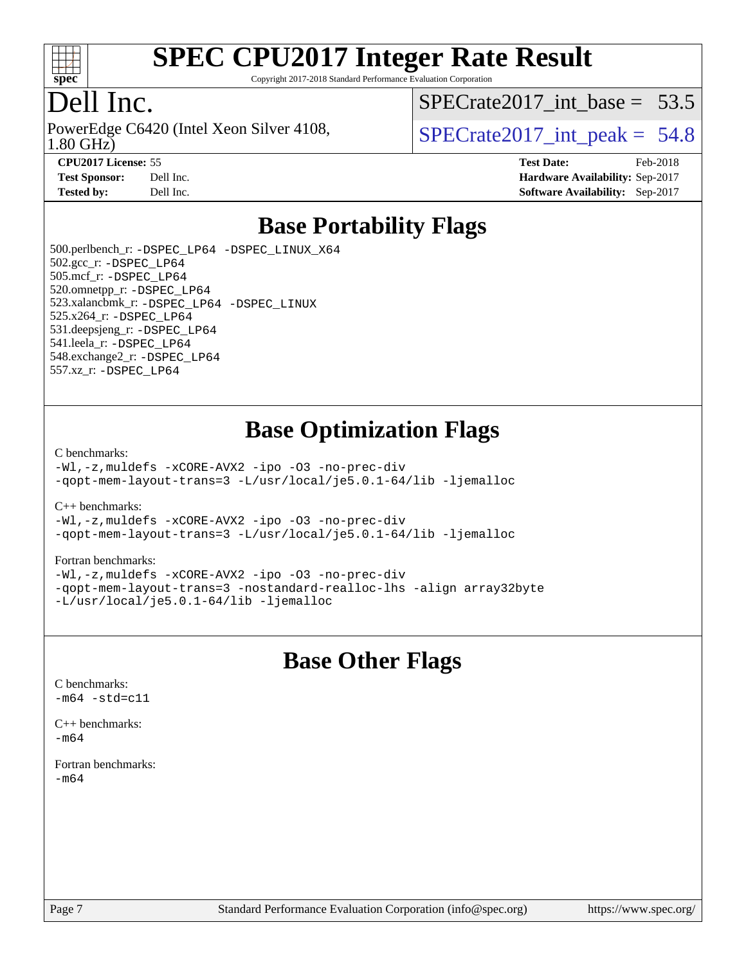

Copyright 2017-2018 Standard Performance Evaluation Corporation

## Dell Inc.

1.80 GHz) PowerEdge C6420 (Intel Xeon Silver 4108,  $\vert$  SPECrate 2017 int peak = 54.8

SPECrate2017 int\_base =  $53.5$ 

**[CPU2017 License:](http://www.spec.org/auto/cpu2017/Docs/result-fields.html#CPU2017License)** 55 **[Test Date:](http://www.spec.org/auto/cpu2017/Docs/result-fields.html#TestDate)** Feb-2018 **[Test Sponsor:](http://www.spec.org/auto/cpu2017/Docs/result-fields.html#TestSponsor)** Dell Inc. **[Hardware Availability:](http://www.spec.org/auto/cpu2017/Docs/result-fields.html#HardwareAvailability)** Sep-2017 **[Tested by:](http://www.spec.org/auto/cpu2017/Docs/result-fields.html#Testedby)** Dell Inc. **[Software Availability:](http://www.spec.org/auto/cpu2017/Docs/result-fields.html#SoftwareAvailability)** Sep-2017

### **[Base Portability Flags](http://www.spec.org/auto/cpu2017/Docs/result-fields.html#BasePortabilityFlags)**

 500.perlbench\_r: [-DSPEC\\_LP64](http://www.spec.org/cpu2017/results/res2018q1/cpu2017-20180305-03878.flags.html#b500.perlbench_r_basePORTABILITY_DSPEC_LP64) [-DSPEC\\_LINUX\\_X64](http://www.spec.org/cpu2017/results/res2018q1/cpu2017-20180305-03878.flags.html#b500.perlbench_r_baseCPORTABILITY_DSPEC_LINUX_X64) 502.gcc\_r: [-DSPEC\\_LP64](http://www.spec.org/cpu2017/results/res2018q1/cpu2017-20180305-03878.flags.html#suite_basePORTABILITY502_gcc_r_DSPEC_LP64) 505.mcf\_r: [-DSPEC\\_LP64](http://www.spec.org/cpu2017/results/res2018q1/cpu2017-20180305-03878.flags.html#suite_basePORTABILITY505_mcf_r_DSPEC_LP64) 520.omnetpp\_r: [-DSPEC\\_LP64](http://www.spec.org/cpu2017/results/res2018q1/cpu2017-20180305-03878.flags.html#suite_basePORTABILITY520_omnetpp_r_DSPEC_LP64) 523.xalancbmk\_r: [-DSPEC\\_LP64](http://www.spec.org/cpu2017/results/res2018q1/cpu2017-20180305-03878.flags.html#suite_basePORTABILITY523_xalancbmk_r_DSPEC_LP64) [-DSPEC\\_LINUX](http://www.spec.org/cpu2017/results/res2018q1/cpu2017-20180305-03878.flags.html#b523.xalancbmk_r_baseCXXPORTABILITY_DSPEC_LINUX) 525.x264\_r: [-DSPEC\\_LP64](http://www.spec.org/cpu2017/results/res2018q1/cpu2017-20180305-03878.flags.html#suite_basePORTABILITY525_x264_r_DSPEC_LP64) 531.deepsjeng\_r: [-DSPEC\\_LP64](http://www.spec.org/cpu2017/results/res2018q1/cpu2017-20180305-03878.flags.html#suite_basePORTABILITY531_deepsjeng_r_DSPEC_LP64) 541.leela\_r: [-DSPEC\\_LP64](http://www.spec.org/cpu2017/results/res2018q1/cpu2017-20180305-03878.flags.html#suite_basePORTABILITY541_leela_r_DSPEC_LP64) 548.exchange2\_r: [-DSPEC\\_LP64](http://www.spec.org/cpu2017/results/res2018q1/cpu2017-20180305-03878.flags.html#suite_basePORTABILITY548_exchange2_r_DSPEC_LP64) 557.xz\_r: [-DSPEC\\_LP64](http://www.spec.org/cpu2017/results/res2018q1/cpu2017-20180305-03878.flags.html#suite_basePORTABILITY557_xz_r_DSPEC_LP64)

### **[Base Optimization Flags](http://www.spec.org/auto/cpu2017/Docs/result-fields.html#BaseOptimizationFlags)**

#### [C benchmarks](http://www.spec.org/auto/cpu2017/Docs/result-fields.html#Cbenchmarks):

[-Wl,-z,muldefs](http://www.spec.org/cpu2017/results/res2018q1/cpu2017-20180305-03878.flags.html#user_CCbase_link_force_multiple1_b4cbdb97b34bdee9ceefcfe54f4c8ea74255f0b02a4b23e853cdb0e18eb4525ac79b5a88067c842dd0ee6996c24547a27a4b99331201badda8798ef8a743f577) [-xCORE-AVX2](http://www.spec.org/cpu2017/results/res2018q1/cpu2017-20180305-03878.flags.html#user_CCbase_f-xCORE-AVX2) [-ipo](http://www.spec.org/cpu2017/results/res2018q1/cpu2017-20180305-03878.flags.html#user_CCbase_f-ipo) [-O3](http://www.spec.org/cpu2017/results/res2018q1/cpu2017-20180305-03878.flags.html#user_CCbase_f-O3) [-no-prec-div](http://www.spec.org/cpu2017/results/res2018q1/cpu2017-20180305-03878.flags.html#user_CCbase_f-no-prec-div) [-qopt-mem-layout-trans=3](http://www.spec.org/cpu2017/results/res2018q1/cpu2017-20180305-03878.flags.html#user_CCbase_f-qopt-mem-layout-trans_de80db37974c74b1f0e20d883f0b675c88c3b01e9d123adea9b28688d64333345fb62bc4a798493513fdb68f60282f9a726aa07f478b2f7113531aecce732043) [-L/usr/local/je5.0.1-64/lib](http://www.spec.org/cpu2017/results/res2018q1/cpu2017-20180305-03878.flags.html#user_CCbase_jemalloc_link_path64_4b10a636b7bce113509b17f3bd0d6226c5fb2346b9178c2d0232c14f04ab830f976640479e5c33dc2bcbbdad86ecfb6634cbbd4418746f06f368b512fced5394) [-ljemalloc](http://www.spec.org/cpu2017/results/res2018q1/cpu2017-20180305-03878.flags.html#user_CCbase_jemalloc_link_lib_d1249b907c500fa1c0672f44f562e3d0f79738ae9e3c4a9c376d49f265a04b9c99b167ecedbf6711b3085be911c67ff61f150a17b3472be731631ba4d0471706)

[C++ benchmarks:](http://www.spec.org/auto/cpu2017/Docs/result-fields.html#CXXbenchmarks)

[-Wl,-z,muldefs](http://www.spec.org/cpu2017/results/res2018q1/cpu2017-20180305-03878.flags.html#user_CXXbase_link_force_multiple1_b4cbdb97b34bdee9ceefcfe54f4c8ea74255f0b02a4b23e853cdb0e18eb4525ac79b5a88067c842dd0ee6996c24547a27a4b99331201badda8798ef8a743f577) [-xCORE-AVX2](http://www.spec.org/cpu2017/results/res2018q1/cpu2017-20180305-03878.flags.html#user_CXXbase_f-xCORE-AVX2) [-ipo](http://www.spec.org/cpu2017/results/res2018q1/cpu2017-20180305-03878.flags.html#user_CXXbase_f-ipo) [-O3](http://www.spec.org/cpu2017/results/res2018q1/cpu2017-20180305-03878.flags.html#user_CXXbase_f-O3) [-no-prec-div](http://www.spec.org/cpu2017/results/res2018q1/cpu2017-20180305-03878.flags.html#user_CXXbase_f-no-prec-div) [-qopt-mem-layout-trans=3](http://www.spec.org/cpu2017/results/res2018q1/cpu2017-20180305-03878.flags.html#user_CXXbase_f-qopt-mem-layout-trans_de80db37974c74b1f0e20d883f0b675c88c3b01e9d123adea9b28688d64333345fb62bc4a798493513fdb68f60282f9a726aa07f478b2f7113531aecce732043) [-L/usr/local/je5.0.1-64/lib](http://www.spec.org/cpu2017/results/res2018q1/cpu2017-20180305-03878.flags.html#user_CXXbase_jemalloc_link_path64_4b10a636b7bce113509b17f3bd0d6226c5fb2346b9178c2d0232c14f04ab830f976640479e5c33dc2bcbbdad86ecfb6634cbbd4418746f06f368b512fced5394) [-ljemalloc](http://www.spec.org/cpu2017/results/res2018q1/cpu2017-20180305-03878.flags.html#user_CXXbase_jemalloc_link_lib_d1249b907c500fa1c0672f44f562e3d0f79738ae9e3c4a9c376d49f265a04b9c99b167ecedbf6711b3085be911c67ff61f150a17b3472be731631ba4d0471706)

#### [Fortran benchmarks](http://www.spec.org/auto/cpu2017/Docs/result-fields.html#Fortranbenchmarks):

[-Wl,-z,muldefs](http://www.spec.org/cpu2017/results/res2018q1/cpu2017-20180305-03878.flags.html#user_FCbase_link_force_multiple1_b4cbdb97b34bdee9ceefcfe54f4c8ea74255f0b02a4b23e853cdb0e18eb4525ac79b5a88067c842dd0ee6996c24547a27a4b99331201badda8798ef8a743f577) [-xCORE-AVX2](http://www.spec.org/cpu2017/results/res2018q1/cpu2017-20180305-03878.flags.html#user_FCbase_f-xCORE-AVX2) [-ipo](http://www.spec.org/cpu2017/results/res2018q1/cpu2017-20180305-03878.flags.html#user_FCbase_f-ipo) [-O3](http://www.spec.org/cpu2017/results/res2018q1/cpu2017-20180305-03878.flags.html#user_FCbase_f-O3) [-no-prec-div](http://www.spec.org/cpu2017/results/res2018q1/cpu2017-20180305-03878.flags.html#user_FCbase_f-no-prec-div) [-qopt-mem-layout-trans=3](http://www.spec.org/cpu2017/results/res2018q1/cpu2017-20180305-03878.flags.html#user_FCbase_f-qopt-mem-layout-trans_de80db37974c74b1f0e20d883f0b675c88c3b01e9d123adea9b28688d64333345fb62bc4a798493513fdb68f60282f9a726aa07f478b2f7113531aecce732043) [-nostandard-realloc-lhs](http://www.spec.org/cpu2017/results/res2018q1/cpu2017-20180305-03878.flags.html#user_FCbase_f_2003_std_realloc_82b4557e90729c0f113870c07e44d33d6f5a304b4f63d4c15d2d0f1fab99f5daaed73bdb9275d9ae411527f28b936061aa8b9c8f2d63842963b95c9dd6426b8a) [-align array32byte](http://www.spec.org/cpu2017/results/res2018q1/cpu2017-20180305-03878.flags.html#user_FCbase_align_array32byte_b982fe038af199962ba9a80c053b8342c548c85b40b8e86eb3cc33dee0d7986a4af373ac2d51c3f7cf710a18d62fdce2948f201cd044323541f22fc0fffc51b6) [-L/usr/local/je5.0.1-64/lib](http://www.spec.org/cpu2017/results/res2018q1/cpu2017-20180305-03878.flags.html#user_FCbase_jemalloc_link_path64_4b10a636b7bce113509b17f3bd0d6226c5fb2346b9178c2d0232c14f04ab830f976640479e5c33dc2bcbbdad86ecfb6634cbbd4418746f06f368b512fced5394) [-ljemalloc](http://www.spec.org/cpu2017/results/res2018q1/cpu2017-20180305-03878.flags.html#user_FCbase_jemalloc_link_lib_d1249b907c500fa1c0672f44f562e3d0f79738ae9e3c4a9c376d49f265a04b9c99b167ecedbf6711b3085be911c67ff61f150a17b3472be731631ba4d0471706)

### **[Base Other Flags](http://www.spec.org/auto/cpu2017/Docs/result-fields.html#BaseOtherFlags)**

[C benchmarks](http://www.spec.org/auto/cpu2017/Docs/result-fields.html#Cbenchmarks):  $-m64 - std= c11$  $-m64 - std= c11$ 

[C++ benchmarks:](http://www.spec.org/auto/cpu2017/Docs/result-fields.html#CXXbenchmarks)  $-m64$ 

[Fortran benchmarks](http://www.spec.org/auto/cpu2017/Docs/result-fields.html#Fortranbenchmarks): [-m64](http://www.spec.org/cpu2017/results/res2018q1/cpu2017-20180305-03878.flags.html#user_FCbase_intel_intel64_18.0_af43caccfc8ded86e7699f2159af6efc7655f51387b94da716254467f3c01020a5059329e2569e4053f409e7c9202a7efc638f7a6d1ffb3f52dea4a3e31d82ab)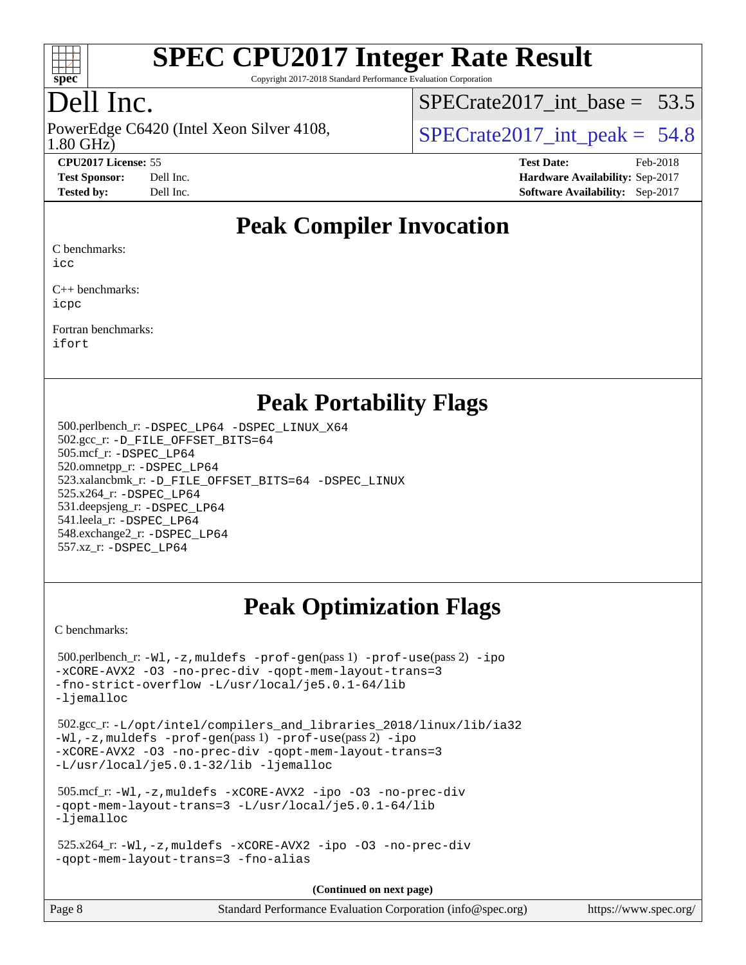

Copyright 2017-2018 Standard Performance Evaluation Corporation

## Dell Inc.

1.80 GHz) PowerEdge C6420 (Intel Xeon Silver 4108,  $\vert$  SPECrate 2017 int peak = 54.8

 $SPECTate2017$ \_int\_base = 53.5

**[CPU2017 License:](http://www.spec.org/auto/cpu2017/Docs/result-fields.html#CPU2017License)** 55 **[Test Date:](http://www.spec.org/auto/cpu2017/Docs/result-fields.html#TestDate)** Feb-2018 **[Test Sponsor:](http://www.spec.org/auto/cpu2017/Docs/result-fields.html#TestSponsor)** Dell Inc. **[Hardware Availability:](http://www.spec.org/auto/cpu2017/Docs/result-fields.html#HardwareAvailability)** Sep-2017 **[Tested by:](http://www.spec.org/auto/cpu2017/Docs/result-fields.html#Testedby)** Dell Inc. **[Software Availability:](http://www.spec.org/auto/cpu2017/Docs/result-fields.html#SoftwareAvailability)** Sep-2017

### **[Peak Compiler Invocation](http://www.spec.org/auto/cpu2017/Docs/result-fields.html#PeakCompilerInvocation)**

[C benchmarks:](http://www.spec.org/auto/cpu2017/Docs/result-fields.html#Cbenchmarks)

[icc](http://www.spec.org/cpu2017/results/res2018q1/cpu2017-20180305-03878.flags.html#user_CCpeak_intel_icc_18.0_66fc1ee009f7361af1fbd72ca7dcefbb700085f36577c54f309893dd4ec40d12360134090235512931783d35fd58c0460139e722d5067c5574d8eaf2b3e37e92)

[C++ benchmarks:](http://www.spec.org/auto/cpu2017/Docs/result-fields.html#CXXbenchmarks) [icpc](http://www.spec.org/cpu2017/results/res2018q1/cpu2017-20180305-03878.flags.html#user_CXXpeak_intel_icpc_18.0_c510b6838c7f56d33e37e94d029a35b4a7bccf4766a728ee175e80a419847e808290a9b78be685c44ab727ea267ec2f070ec5dc83b407c0218cded6866a35d07)

[Fortran benchmarks](http://www.spec.org/auto/cpu2017/Docs/result-fields.html#Fortranbenchmarks): [ifort](http://www.spec.org/cpu2017/results/res2018q1/cpu2017-20180305-03878.flags.html#user_FCpeak_intel_ifort_18.0_8111460550e3ca792625aed983ce982f94888b8b503583aa7ba2b8303487b4d8a21a13e7191a45c5fd58ff318f48f9492884d4413fa793fd88dd292cad7027ca)

### **[Peak Portability Flags](http://www.spec.org/auto/cpu2017/Docs/result-fields.html#PeakPortabilityFlags)**

 500.perlbench\_r: [-DSPEC\\_LP64](http://www.spec.org/cpu2017/results/res2018q1/cpu2017-20180305-03878.flags.html#b500.perlbench_r_peakPORTABILITY_DSPEC_LP64) [-DSPEC\\_LINUX\\_X64](http://www.spec.org/cpu2017/results/res2018q1/cpu2017-20180305-03878.flags.html#b500.perlbench_r_peakCPORTABILITY_DSPEC_LINUX_X64) 502.gcc\_r: [-D\\_FILE\\_OFFSET\\_BITS=64](http://www.spec.org/cpu2017/results/res2018q1/cpu2017-20180305-03878.flags.html#user_peakPORTABILITY502_gcc_r_file_offset_bits_64_5ae949a99b284ddf4e95728d47cb0843d81b2eb0e18bdfe74bbf0f61d0b064f4bda2f10ea5eb90e1dcab0e84dbc592acfc5018bc955c18609f94ddb8d550002c) 505.mcf\_r: [-DSPEC\\_LP64](http://www.spec.org/cpu2017/results/res2018q1/cpu2017-20180305-03878.flags.html#suite_peakPORTABILITY505_mcf_r_DSPEC_LP64) 520.omnetpp\_r: [-DSPEC\\_LP64](http://www.spec.org/cpu2017/results/res2018q1/cpu2017-20180305-03878.flags.html#suite_peakPORTABILITY520_omnetpp_r_DSPEC_LP64) 523.xalancbmk\_r: [-D\\_FILE\\_OFFSET\\_BITS=64](http://www.spec.org/cpu2017/results/res2018q1/cpu2017-20180305-03878.flags.html#user_peakPORTABILITY523_xalancbmk_r_file_offset_bits_64_5ae949a99b284ddf4e95728d47cb0843d81b2eb0e18bdfe74bbf0f61d0b064f4bda2f10ea5eb90e1dcab0e84dbc592acfc5018bc955c18609f94ddb8d550002c) [-DSPEC\\_LINUX](http://www.spec.org/cpu2017/results/res2018q1/cpu2017-20180305-03878.flags.html#b523.xalancbmk_r_peakCXXPORTABILITY_DSPEC_LINUX) 525.x264\_r: [-DSPEC\\_LP64](http://www.spec.org/cpu2017/results/res2018q1/cpu2017-20180305-03878.flags.html#suite_peakPORTABILITY525_x264_r_DSPEC_LP64) 531.deepsjeng\_r: [-DSPEC\\_LP64](http://www.spec.org/cpu2017/results/res2018q1/cpu2017-20180305-03878.flags.html#suite_peakPORTABILITY531_deepsjeng_r_DSPEC_LP64) 541.leela\_r: [-DSPEC\\_LP64](http://www.spec.org/cpu2017/results/res2018q1/cpu2017-20180305-03878.flags.html#suite_peakPORTABILITY541_leela_r_DSPEC_LP64) 548.exchange2\_r: [-DSPEC\\_LP64](http://www.spec.org/cpu2017/results/res2018q1/cpu2017-20180305-03878.flags.html#suite_peakPORTABILITY548_exchange2_r_DSPEC_LP64) 557.xz\_r: [-DSPEC\\_LP64](http://www.spec.org/cpu2017/results/res2018q1/cpu2017-20180305-03878.flags.html#suite_peakPORTABILITY557_xz_r_DSPEC_LP64)

## **[Peak Optimization Flags](http://www.spec.org/auto/cpu2017/Docs/result-fields.html#PeakOptimizationFlags)**

[C benchmarks](http://www.spec.org/auto/cpu2017/Docs/result-fields.html#Cbenchmarks):

 500.perlbench\_r: [-Wl,-z,muldefs](http://www.spec.org/cpu2017/results/res2018q1/cpu2017-20180305-03878.flags.html#user_peakEXTRA_LDFLAGS500_perlbench_r_link_force_multiple1_b4cbdb97b34bdee9ceefcfe54f4c8ea74255f0b02a4b23e853cdb0e18eb4525ac79b5a88067c842dd0ee6996c24547a27a4b99331201badda8798ef8a743f577) [-prof-gen](http://www.spec.org/cpu2017/results/res2018q1/cpu2017-20180305-03878.flags.html#user_peakPASS1_CFLAGSPASS1_LDFLAGS500_perlbench_r_prof_gen_5aa4926d6013ddb2a31985c654b3eb18169fc0c6952a63635c234f711e6e63dd76e94ad52365559451ec499a2cdb89e4dc58ba4c67ef54ca681ffbe1461d6b36)(pass 1) [-prof-use](http://www.spec.org/cpu2017/results/res2018q1/cpu2017-20180305-03878.flags.html#user_peakPASS2_CFLAGSPASS2_LDFLAGS500_perlbench_r_prof_use_1a21ceae95f36a2b53c25747139a6c16ca95bd9def2a207b4f0849963b97e94f5260e30a0c64f4bb623698870e679ca08317ef8150905d41bd88c6f78df73f19)(pass 2) [-ipo](http://www.spec.org/cpu2017/results/res2018q1/cpu2017-20180305-03878.flags.html#user_peakPASS1_COPTIMIZEPASS2_COPTIMIZE500_perlbench_r_f-ipo) [-xCORE-AVX2](http://www.spec.org/cpu2017/results/res2018q1/cpu2017-20180305-03878.flags.html#user_peakPASS2_COPTIMIZE500_perlbench_r_f-xCORE-AVX2) [-O3](http://www.spec.org/cpu2017/results/res2018q1/cpu2017-20180305-03878.flags.html#user_peakPASS1_COPTIMIZEPASS2_COPTIMIZE500_perlbench_r_f-O3) [-no-prec-div](http://www.spec.org/cpu2017/results/res2018q1/cpu2017-20180305-03878.flags.html#user_peakPASS1_COPTIMIZEPASS2_COPTIMIZE500_perlbench_r_f-no-prec-div) [-qopt-mem-layout-trans=3](http://www.spec.org/cpu2017/results/res2018q1/cpu2017-20180305-03878.flags.html#user_peakPASS1_COPTIMIZEPASS2_COPTIMIZE500_perlbench_r_f-qopt-mem-layout-trans_de80db37974c74b1f0e20d883f0b675c88c3b01e9d123adea9b28688d64333345fb62bc4a798493513fdb68f60282f9a726aa07f478b2f7113531aecce732043) [-fno-strict-overflow](http://www.spec.org/cpu2017/results/res2018q1/cpu2017-20180305-03878.flags.html#user_peakEXTRA_OPTIMIZE500_perlbench_r_f-fno-strict-overflow) [-L/usr/local/je5.0.1-64/lib](http://www.spec.org/cpu2017/results/res2018q1/cpu2017-20180305-03878.flags.html#user_peakEXTRA_LIBS500_perlbench_r_jemalloc_link_path64_4b10a636b7bce113509b17f3bd0d6226c5fb2346b9178c2d0232c14f04ab830f976640479e5c33dc2bcbbdad86ecfb6634cbbd4418746f06f368b512fced5394) [-ljemalloc](http://www.spec.org/cpu2017/results/res2018q1/cpu2017-20180305-03878.flags.html#user_peakEXTRA_LIBS500_perlbench_r_jemalloc_link_lib_d1249b907c500fa1c0672f44f562e3d0f79738ae9e3c4a9c376d49f265a04b9c99b167ecedbf6711b3085be911c67ff61f150a17b3472be731631ba4d0471706) 502.gcc\_r: [-L/opt/intel/compilers\\_and\\_libraries\\_2018/linux/lib/ia32](http://www.spec.org/cpu2017/results/res2018q1/cpu2017-20180305-03878.flags.html#user_peakCCLD502_gcc_r_Enable-32bit-runtime_af243bdb1d79e4c7a4f720bf8275e627de2ecd461de63307bc14cef0633fde3cd7bb2facb32dcc8be9566045fb55d40ce2b72b725f73827aa7833441b71b9343) [-Wl,-z,muldefs](http://www.spec.org/cpu2017/results/res2018q1/cpu2017-20180305-03878.flags.html#user_peakEXTRA_LDFLAGS502_gcc_r_link_force_multiple1_b4cbdb97b34bdee9ceefcfe54f4c8ea74255f0b02a4b23e853cdb0e18eb4525ac79b5a88067c842dd0ee6996c24547a27a4b99331201badda8798ef8a743f577) [-prof-gen](http://www.spec.org/cpu2017/results/res2018q1/cpu2017-20180305-03878.flags.html#user_peakPASS1_CFLAGSPASS1_LDFLAGS502_gcc_r_prof_gen_5aa4926d6013ddb2a31985c654b3eb18169fc0c6952a63635c234f711e6e63dd76e94ad52365559451ec499a2cdb89e4dc58ba4c67ef54ca681ffbe1461d6b36)(pass 1) [-prof-use](http://www.spec.org/cpu2017/results/res2018q1/cpu2017-20180305-03878.flags.html#user_peakPASS2_CFLAGSPASS2_LDFLAGS502_gcc_r_prof_use_1a21ceae95f36a2b53c25747139a6c16ca95bd9def2a207b4f0849963b97e94f5260e30a0c64f4bb623698870e679ca08317ef8150905d41bd88c6f78df73f19)(pass 2) [-ipo](http://www.spec.org/cpu2017/results/res2018q1/cpu2017-20180305-03878.flags.html#user_peakPASS1_COPTIMIZEPASS2_COPTIMIZE502_gcc_r_f-ipo) [-xCORE-AVX2](http://www.spec.org/cpu2017/results/res2018q1/cpu2017-20180305-03878.flags.html#user_peakPASS2_COPTIMIZE502_gcc_r_f-xCORE-AVX2) [-O3](http://www.spec.org/cpu2017/results/res2018q1/cpu2017-20180305-03878.flags.html#user_peakPASS1_COPTIMIZEPASS2_COPTIMIZE502_gcc_r_f-O3) [-no-prec-div](http://www.spec.org/cpu2017/results/res2018q1/cpu2017-20180305-03878.flags.html#user_peakPASS1_COPTIMIZEPASS2_COPTIMIZE502_gcc_r_f-no-prec-div) [-qopt-mem-layout-trans=3](http://www.spec.org/cpu2017/results/res2018q1/cpu2017-20180305-03878.flags.html#user_peakPASS1_COPTIMIZEPASS2_COPTIMIZE502_gcc_r_f-qopt-mem-layout-trans_de80db37974c74b1f0e20d883f0b675c88c3b01e9d123adea9b28688d64333345fb62bc4a798493513fdb68f60282f9a726aa07f478b2f7113531aecce732043) [-L/usr/local/je5.0.1-32/lib](http://www.spec.org/cpu2017/results/res2018q1/cpu2017-20180305-03878.flags.html#user_peakEXTRA_LIBS502_gcc_r_jemalloc_link_path32_e29f22e8e6c17053bbc6a0971f5a9c01a601a06bb1a59df2084b77a2fe0a2995b64fd4256feaeea39eeba3aae142e96e2b2b0a28974019c0c0c88139a84f900a) [-ljemalloc](http://www.spec.org/cpu2017/results/res2018q1/cpu2017-20180305-03878.flags.html#user_peakEXTRA_LIBS502_gcc_r_jemalloc_link_lib_d1249b907c500fa1c0672f44f562e3d0f79738ae9e3c4a9c376d49f265a04b9c99b167ecedbf6711b3085be911c67ff61f150a17b3472be731631ba4d0471706) 505.mcf\_r: [-Wl,-z,muldefs](http://www.spec.org/cpu2017/results/res2018q1/cpu2017-20180305-03878.flags.html#user_peakEXTRA_LDFLAGS505_mcf_r_link_force_multiple1_b4cbdb97b34bdee9ceefcfe54f4c8ea74255f0b02a4b23e853cdb0e18eb4525ac79b5a88067c842dd0ee6996c24547a27a4b99331201badda8798ef8a743f577) [-xCORE-AVX2](http://www.spec.org/cpu2017/results/res2018q1/cpu2017-20180305-03878.flags.html#user_peakCOPTIMIZE505_mcf_r_f-xCORE-AVX2) [-ipo](http://www.spec.org/cpu2017/results/res2018q1/cpu2017-20180305-03878.flags.html#user_peakCOPTIMIZE505_mcf_r_f-ipo) [-O3](http://www.spec.org/cpu2017/results/res2018q1/cpu2017-20180305-03878.flags.html#user_peakCOPTIMIZE505_mcf_r_f-O3) [-no-prec-div](http://www.spec.org/cpu2017/results/res2018q1/cpu2017-20180305-03878.flags.html#user_peakCOPTIMIZE505_mcf_r_f-no-prec-div) [-qopt-mem-layout-trans=3](http://www.spec.org/cpu2017/results/res2018q1/cpu2017-20180305-03878.flags.html#user_peakCOPTIMIZE505_mcf_r_f-qopt-mem-layout-trans_de80db37974c74b1f0e20d883f0b675c88c3b01e9d123adea9b28688d64333345fb62bc4a798493513fdb68f60282f9a726aa07f478b2f7113531aecce732043) [-L/usr/local/je5.0.1-64/lib](http://www.spec.org/cpu2017/results/res2018q1/cpu2017-20180305-03878.flags.html#user_peakEXTRA_LIBS505_mcf_r_jemalloc_link_path64_4b10a636b7bce113509b17f3bd0d6226c5fb2346b9178c2d0232c14f04ab830f976640479e5c33dc2bcbbdad86ecfb6634cbbd4418746f06f368b512fced5394) [-ljemalloc](http://www.spec.org/cpu2017/results/res2018q1/cpu2017-20180305-03878.flags.html#user_peakEXTRA_LIBS505_mcf_r_jemalloc_link_lib_d1249b907c500fa1c0672f44f562e3d0f79738ae9e3c4a9c376d49f265a04b9c99b167ecedbf6711b3085be911c67ff61f150a17b3472be731631ba4d0471706) 525.x264\_r: [-Wl,-z,muldefs](http://www.spec.org/cpu2017/results/res2018q1/cpu2017-20180305-03878.flags.html#user_peakEXTRA_LDFLAGS525_x264_r_link_force_multiple1_b4cbdb97b34bdee9ceefcfe54f4c8ea74255f0b02a4b23e853cdb0e18eb4525ac79b5a88067c842dd0ee6996c24547a27a4b99331201badda8798ef8a743f577) [-xCORE-AVX2](http://www.spec.org/cpu2017/results/res2018q1/cpu2017-20180305-03878.flags.html#user_peakCOPTIMIZE525_x264_r_f-xCORE-AVX2) [-ipo](http://www.spec.org/cpu2017/results/res2018q1/cpu2017-20180305-03878.flags.html#user_peakCOPTIMIZE525_x264_r_f-ipo) [-O3](http://www.spec.org/cpu2017/results/res2018q1/cpu2017-20180305-03878.flags.html#user_peakCOPTIMIZE525_x264_r_f-O3) [-no-prec-div](http://www.spec.org/cpu2017/results/res2018q1/cpu2017-20180305-03878.flags.html#user_peakCOPTIMIZE525_x264_r_f-no-prec-div) [-qopt-mem-layout-trans=3](http://www.spec.org/cpu2017/results/res2018q1/cpu2017-20180305-03878.flags.html#user_peakCOPTIMIZE525_x264_r_f-qopt-mem-layout-trans_de80db37974c74b1f0e20d883f0b675c88c3b01e9d123adea9b28688d64333345fb62bc4a798493513fdb68f60282f9a726aa07f478b2f7113531aecce732043) [-fno-alias](http://www.spec.org/cpu2017/results/res2018q1/cpu2017-20180305-03878.flags.html#user_peakEXTRA_OPTIMIZE525_x264_r_f-no-alias_77dbac10d91cbfe898fbf4a29d1b29b694089caa623bdd1baccc9957d4edbe8d106c0b357e2748a65b44fc9e83d78098bb898077f3fe92f9faf24f7bd4a07ed7) **(Continued on next page)**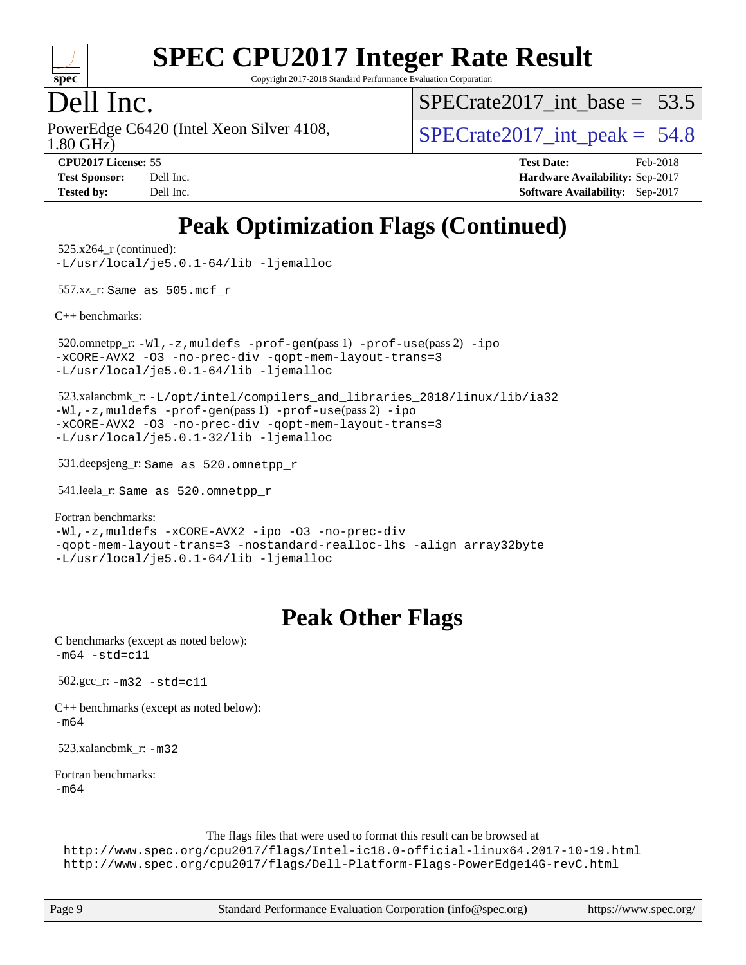

Copyright 2017-2018 Standard Performance Evaluation Corporation

## Dell Inc.

PowerEdge C6420 (Intel Xeon Silver 4108,<br>1.80 GHz)

SPECrate2017 int\_base =  $53.5$ 

SPECrate  $2017$  int peak = 54.8

| <b>Test Sponsor:</b> | Dell Inc. |
|----------------------|-----------|
| <b>Tested by:</b>    | Dell Inc. |

**[CPU2017 License:](http://www.spec.org/auto/cpu2017/Docs/result-fields.html#CPU2017License)** 55 **[Test Date:](http://www.spec.org/auto/cpu2017/Docs/result-fields.html#TestDate)** Feb-2018 **[Hardware Availability:](http://www.spec.org/auto/cpu2017/Docs/result-fields.html#HardwareAvailability)** Sep-2017 **[Software Availability:](http://www.spec.org/auto/cpu2017/Docs/result-fields.html#SoftwareAvailability)** Sep-2017

## **[Peak Optimization Flags \(Continued\)](http://www.spec.org/auto/cpu2017/Docs/result-fields.html#PeakOptimizationFlags)**

 525.x264\_r (continued): [-L/usr/local/je5.0.1-64/lib](http://www.spec.org/cpu2017/results/res2018q1/cpu2017-20180305-03878.flags.html#user_peakEXTRA_LIBS525_x264_r_jemalloc_link_path64_4b10a636b7bce113509b17f3bd0d6226c5fb2346b9178c2d0232c14f04ab830f976640479e5c33dc2bcbbdad86ecfb6634cbbd4418746f06f368b512fced5394) [-ljemalloc](http://www.spec.org/cpu2017/results/res2018q1/cpu2017-20180305-03878.flags.html#user_peakEXTRA_LIBS525_x264_r_jemalloc_link_lib_d1249b907c500fa1c0672f44f562e3d0f79738ae9e3c4a9c376d49f265a04b9c99b167ecedbf6711b3085be911c67ff61f150a17b3472be731631ba4d0471706)

557.xz\_r: Same as 505.mcf\_r

[C++ benchmarks:](http://www.spec.org/auto/cpu2017/Docs/result-fields.html#CXXbenchmarks)

 520.omnetpp\_r: [-Wl,-z,muldefs](http://www.spec.org/cpu2017/results/res2018q1/cpu2017-20180305-03878.flags.html#user_peakEXTRA_LDFLAGS520_omnetpp_r_link_force_multiple1_b4cbdb97b34bdee9ceefcfe54f4c8ea74255f0b02a4b23e853cdb0e18eb4525ac79b5a88067c842dd0ee6996c24547a27a4b99331201badda8798ef8a743f577) [-prof-gen](http://www.spec.org/cpu2017/results/res2018q1/cpu2017-20180305-03878.flags.html#user_peakPASS1_CXXFLAGSPASS1_LDFLAGS520_omnetpp_r_prof_gen_5aa4926d6013ddb2a31985c654b3eb18169fc0c6952a63635c234f711e6e63dd76e94ad52365559451ec499a2cdb89e4dc58ba4c67ef54ca681ffbe1461d6b36)(pass 1) [-prof-use](http://www.spec.org/cpu2017/results/res2018q1/cpu2017-20180305-03878.flags.html#user_peakPASS2_CXXFLAGSPASS2_LDFLAGS520_omnetpp_r_prof_use_1a21ceae95f36a2b53c25747139a6c16ca95bd9def2a207b4f0849963b97e94f5260e30a0c64f4bb623698870e679ca08317ef8150905d41bd88c6f78df73f19)(pass 2) [-ipo](http://www.spec.org/cpu2017/results/res2018q1/cpu2017-20180305-03878.flags.html#user_peakPASS1_CXXOPTIMIZEPASS2_CXXOPTIMIZE520_omnetpp_r_f-ipo) [-xCORE-AVX2](http://www.spec.org/cpu2017/results/res2018q1/cpu2017-20180305-03878.flags.html#user_peakPASS2_CXXOPTIMIZE520_omnetpp_r_f-xCORE-AVX2) [-O3](http://www.spec.org/cpu2017/results/res2018q1/cpu2017-20180305-03878.flags.html#user_peakPASS1_CXXOPTIMIZEPASS2_CXXOPTIMIZE520_omnetpp_r_f-O3) [-no-prec-div](http://www.spec.org/cpu2017/results/res2018q1/cpu2017-20180305-03878.flags.html#user_peakPASS1_CXXOPTIMIZEPASS2_CXXOPTIMIZE520_omnetpp_r_f-no-prec-div) [-qopt-mem-layout-trans=3](http://www.spec.org/cpu2017/results/res2018q1/cpu2017-20180305-03878.flags.html#user_peakPASS1_CXXOPTIMIZEPASS2_CXXOPTIMIZE520_omnetpp_r_f-qopt-mem-layout-trans_de80db37974c74b1f0e20d883f0b675c88c3b01e9d123adea9b28688d64333345fb62bc4a798493513fdb68f60282f9a726aa07f478b2f7113531aecce732043) [-L/usr/local/je5.0.1-64/lib](http://www.spec.org/cpu2017/results/res2018q1/cpu2017-20180305-03878.flags.html#user_peakEXTRA_LIBS520_omnetpp_r_jemalloc_link_path64_4b10a636b7bce113509b17f3bd0d6226c5fb2346b9178c2d0232c14f04ab830f976640479e5c33dc2bcbbdad86ecfb6634cbbd4418746f06f368b512fced5394) [-ljemalloc](http://www.spec.org/cpu2017/results/res2018q1/cpu2017-20180305-03878.flags.html#user_peakEXTRA_LIBS520_omnetpp_r_jemalloc_link_lib_d1249b907c500fa1c0672f44f562e3d0f79738ae9e3c4a9c376d49f265a04b9c99b167ecedbf6711b3085be911c67ff61f150a17b3472be731631ba4d0471706)

 523.xalancbmk\_r: [-L/opt/intel/compilers\\_and\\_libraries\\_2018/linux/lib/ia32](http://www.spec.org/cpu2017/results/res2018q1/cpu2017-20180305-03878.flags.html#user_peakCXXLD523_xalancbmk_r_Enable-32bit-runtime_af243bdb1d79e4c7a4f720bf8275e627de2ecd461de63307bc14cef0633fde3cd7bb2facb32dcc8be9566045fb55d40ce2b72b725f73827aa7833441b71b9343) [-Wl,-z,muldefs](http://www.spec.org/cpu2017/results/res2018q1/cpu2017-20180305-03878.flags.html#user_peakEXTRA_LDFLAGS523_xalancbmk_r_link_force_multiple1_b4cbdb97b34bdee9ceefcfe54f4c8ea74255f0b02a4b23e853cdb0e18eb4525ac79b5a88067c842dd0ee6996c24547a27a4b99331201badda8798ef8a743f577) [-prof-gen](http://www.spec.org/cpu2017/results/res2018q1/cpu2017-20180305-03878.flags.html#user_peakPASS1_CXXFLAGSPASS1_LDFLAGS523_xalancbmk_r_prof_gen_5aa4926d6013ddb2a31985c654b3eb18169fc0c6952a63635c234f711e6e63dd76e94ad52365559451ec499a2cdb89e4dc58ba4c67ef54ca681ffbe1461d6b36)(pass 1) [-prof-use](http://www.spec.org/cpu2017/results/res2018q1/cpu2017-20180305-03878.flags.html#user_peakPASS2_CXXFLAGSPASS2_LDFLAGS523_xalancbmk_r_prof_use_1a21ceae95f36a2b53c25747139a6c16ca95bd9def2a207b4f0849963b97e94f5260e30a0c64f4bb623698870e679ca08317ef8150905d41bd88c6f78df73f19)(pass 2) [-ipo](http://www.spec.org/cpu2017/results/res2018q1/cpu2017-20180305-03878.flags.html#user_peakPASS1_CXXOPTIMIZEPASS2_CXXOPTIMIZE523_xalancbmk_r_f-ipo) [-xCORE-AVX2](http://www.spec.org/cpu2017/results/res2018q1/cpu2017-20180305-03878.flags.html#user_peakPASS2_CXXOPTIMIZE523_xalancbmk_r_f-xCORE-AVX2) [-O3](http://www.spec.org/cpu2017/results/res2018q1/cpu2017-20180305-03878.flags.html#user_peakPASS1_CXXOPTIMIZEPASS2_CXXOPTIMIZE523_xalancbmk_r_f-O3) [-no-prec-div](http://www.spec.org/cpu2017/results/res2018q1/cpu2017-20180305-03878.flags.html#user_peakPASS1_CXXOPTIMIZEPASS2_CXXOPTIMIZE523_xalancbmk_r_f-no-prec-div) [-qopt-mem-layout-trans=3](http://www.spec.org/cpu2017/results/res2018q1/cpu2017-20180305-03878.flags.html#user_peakPASS1_CXXOPTIMIZEPASS2_CXXOPTIMIZE523_xalancbmk_r_f-qopt-mem-layout-trans_de80db37974c74b1f0e20d883f0b675c88c3b01e9d123adea9b28688d64333345fb62bc4a798493513fdb68f60282f9a726aa07f478b2f7113531aecce732043) [-L/usr/local/je5.0.1-32/lib](http://www.spec.org/cpu2017/results/res2018q1/cpu2017-20180305-03878.flags.html#user_peakEXTRA_LIBS523_xalancbmk_r_jemalloc_link_path32_e29f22e8e6c17053bbc6a0971f5a9c01a601a06bb1a59df2084b77a2fe0a2995b64fd4256feaeea39eeba3aae142e96e2b2b0a28974019c0c0c88139a84f900a) [-ljemalloc](http://www.spec.org/cpu2017/results/res2018q1/cpu2017-20180305-03878.flags.html#user_peakEXTRA_LIBS523_xalancbmk_r_jemalloc_link_lib_d1249b907c500fa1c0672f44f562e3d0f79738ae9e3c4a9c376d49f265a04b9c99b167ecedbf6711b3085be911c67ff61f150a17b3472be731631ba4d0471706)

531.deepsjeng\_r: Same as 520.omnetpp\_r

541.leela\_r: Same as 520.omnetpp\_r

[Fortran benchmarks](http://www.spec.org/auto/cpu2017/Docs/result-fields.html#Fortranbenchmarks):

[-Wl,-z,muldefs](http://www.spec.org/cpu2017/results/res2018q1/cpu2017-20180305-03878.flags.html#user_FCpeak_link_force_multiple1_b4cbdb97b34bdee9ceefcfe54f4c8ea74255f0b02a4b23e853cdb0e18eb4525ac79b5a88067c842dd0ee6996c24547a27a4b99331201badda8798ef8a743f577) [-xCORE-AVX2](http://www.spec.org/cpu2017/results/res2018q1/cpu2017-20180305-03878.flags.html#user_FCpeak_f-xCORE-AVX2) [-ipo](http://www.spec.org/cpu2017/results/res2018q1/cpu2017-20180305-03878.flags.html#user_FCpeak_f-ipo) [-O3](http://www.spec.org/cpu2017/results/res2018q1/cpu2017-20180305-03878.flags.html#user_FCpeak_f-O3) [-no-prec-div](http://www.spec.org/cpu2017/results/res2018q1/cpu2017-20180305-03878.flags.html#user_FCpeak_f-no-prec-div) [-qopt-mem-layout-trans=3](http://www.spec.org/cpu2017/results/res2018q1/cpu2017-20180305-03878.flags.html#user_FCpeak_f-qopt-mem-layout-trans_de80db37974c74b1f0e20d883f0b675c88c3b01e9d123adea9b28688d64333345fb62bc4a798493513fdb68f60282f9a726aa07f478b2f7113531aecce732043) [-nostandard-realloc-lhs](http://www.spec.org/cpu2017/results/res2018q1/cpu2017-20180305-03878.flags.html#user_FCpeak_f_2003_std_realloc_82b4557e90729c0f113870c07e44d33d6f5a304b4f63d4c15d2d0f1fab99f5daaed73bdb9275d9ae411527f28b936061aa8b9c8f2d63842963b95c9dd6426b8a) [-align array32byte](http://www.spec.org/cpu2017/results/res2018q1/cpu2017-20180305-03878.flags.html#user_FCpeak_align_array32byte_b982fe038af199962ba9a80c053b8342c548c85b40b8e86eb3cc33dee0d7986a4af373ac2d51c3f7cf710a18d62fdce2948f201cd044323541f22fc0fffc51b6) [-L/usr/local/je5.0.1-64/lib](http://www.spec.org/cpu2017/results/res2018q1/cpu2017-20180305-03878.flags.html#user_FCpeak_jemalloc_link_path64_4b10a636b7bce113509b17f3bd0d6226c5fb2346b9178c2d0232c14f04ab830f976640479e5c33dc2bcbbdad86ecfb6634cbbd4418746f06f368b512fced5394) [-ljemalloc](http://www.spec.org/cpu2017/results/res2018q1/cpu2017-20180305-03878.flags.html#user_FCpeak_jemalloc_link_lib_d1249b907c500fa1c0672f44f562e3d0f79738ae9e3c4a9c376d49f265a04b9c99b167ecedbf6711b3085be911c67ff61f150a17b3472be731631ba4d0471706)

## **[Peak Other Flags](http://www.spec.org/auto/cpu2017/Docs/result-fields.html#PeakOtherFlags)**

| C benchmarks (except as noted below):<br>$-m64 - std = c11$                                                                                                                                                                               |  |
|-------------------------------------------------------------------------------------------------------------------------------------------------------------------------------------------------------------------------------------------|--|
| $502.\text{gcc}_r$ : $-m32 - std = c11$                                                                                                                                                                                                   |  |
| $C++$ benchmarks (except as noted below):<br>$-m64$                                                                                                                                                                                       |  |
| 523.xalancbmk $r: -m32$                                                                                                                                                                                                                   |  |
| Fortran benchmarks:<br>$-m64$                                                                                                                                                                                                             |  |
| The flags files that were used to format this result can be browsed at<br>http://www.spec.org/cpu2017/flags/Intel-ic18.0-official-linux64.2017-10-19.html<br>http://www.spec.org/cpu2017/flags/Dell-Platform-Flags-PowerEdge14G-revC.html |  |

Page 9 Standard Performance Evaluation Corporation [\(info@spec.org\)](mailto:info@spec.org) <https://www.spec.org/>